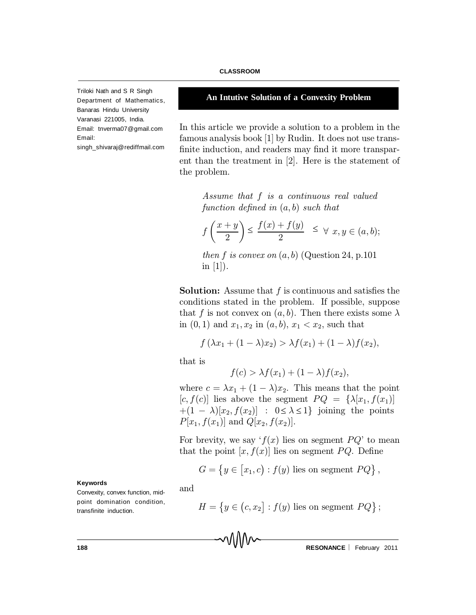Triloki Nath and S R Singh Department of Mathematics, Banaras Hindu University Varanasi 221005, India. Email: tnverma07@gmail.com Email: singh\_shivaraj@rediffmail.com

# **An Intutive Solution of a Convexity Problem**

In this article we provide a solution to a problem in the famous analysis book [1] by Rudin. It does not use trans finite induction, and readers may find it more transparent than the treatment in [2]. Here is the statement of the problem.

Assume that f is a continuous real valued function defined in  $(a, b)$  such that

$$
f\left(\frac{x+y}{2}\right) \le \frac{f(x)+f(y)}{2} \le \forall x, y \in (a, b);
$$

then f is convex on  $(a, b)$  (Question 24, p.101) in  $[1]$ ).

**Solution:** Assume that  $f$  is continuous and satisfies the conditions stated in the problem. If possible, suppose that f is not convex on  $(a, b)$ . Then there exists some  $\lambda$ in  $(0, 1)$  and  $x_1, x_2$  in  $(a, b), x_1 < x_2$ , such that

$$
f(\lambda x_1 + (1 - \lambda)x_2) > \lambda f(x_1) + (1 - \lambda)f(x_2),
$$

that is

and

$$
f(c) > \lambda f(x_1) + (1 - \lambda)f(x_2),
$$

where  $c = \lambda x_1 + (1 - \lambda)x_2$ . This means that the point  $[c, f(c)]$  lies above the segment  $PQ = {\lambda[x_1, f(x_1)]}$  $+(1 - \lambda)[x_2, f(x_2)]$  :  $0 \le \lambda \le 1$ } joining the points  $P[x_1, f(x_1)]$  and  $Q[x_2, f(x_2)]$ .

For brevity, we say  $f(x)$  lies on segment  $PQ'$  to mean that the point  $[x, f(x)]$  lies on segment PQ. Define

$$
G = \{ y \in [x_1, c) : f(y) \text{ lies on segment } PQ \},
$$

 $H = \{y \in (c, x_2] : f(y) \text{ lies on segment } PQ\};$ 

**Keywords**

Convexity, convex function, midpoint domination condition, transfinite induction.

**188 RESONANCE** | February 2011